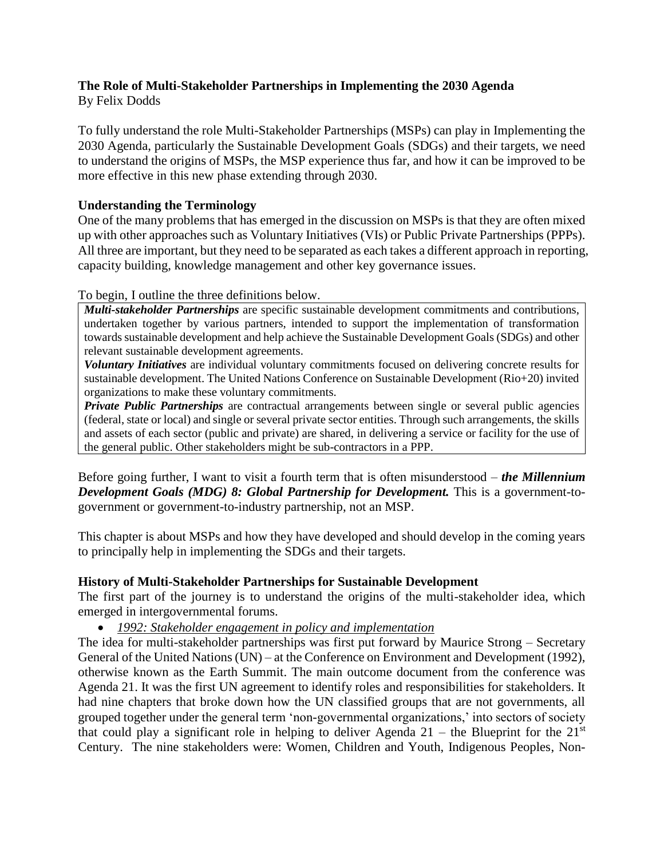# **The Role of Multi-Stakeholder Partnerships in Implementing the 2030 Agenda**

By Felix Dodds

To fully understand the role Multi-Stakeholder Partnerships (MSPs) can play in Implementing the 2030 Agenda, particularly the Sustainable Development Goals (SDGs) and their targets, we need to understand the origins of MSPs, the MSP experience thus far, and how it can be improved to be more effective in this new phase extending through 2030.

## **Understanding the Terminology**

One of the many problems that has emerged in the discussion on MSPs is that they are often mixed up with other approaches such as Voluntary Initiatives (VIs) or Public Private Partnerships (PPPs). All three are important, but they need to be separated as each takes a different approach in reporting, capacity building, knowledge management and other key governance issues.

## To begin, I outline the three definitions below.

*Multi-stakeholder Partnerships* are specific sustainable development commitments and contributions, undertaken together by various partners, intended to support the implementation of transformation towards sustainable development and help achieve the Sustainable Development Goals (SDGs) and other relevant sustainable development agreements.

*Voluntary Initiatives* are individual voluntary commitments focused on delivering concrete results for sustainable development. The United Nations Conference on Sustainable Development (Rio+20) invited organizations to make these voluntary commitments.

*Private Public Partnerships* are contractual arrangements between single or several public agencies (federal, state or local) and single or several private sector entities. Through such arrangements, the skills and assets of each sector (public and private) are shared, in delivering a service or facility for the use of the general public. Other stakeholders might be sub-contractors in a PPP.

Before going further, I want to visit a fourth term that is often misunderstood – *the Millennium Development Goals (MDG) 8: Global Partnership for Development.* This is a government-togovernment or government-to-industry partnership, not an MSP.

This chapter is about MSPs and how they have developed and should develop in the coming years to principally help in implementing the SDGs and their targets.

# **History of Multi-Stakeholder Partnerships for Sustainable Development**

The first part of the journey is to understand the origins of the multi-stakeholder idea, which emerged in intergovernmental forums.

• *1992: Stakeholder engagement in policy and implementation*

The idea for multi-stakeholder partnerships was first put forward by Maurice Strong – Secretary General of the United Nations (UN) – at the Conference on Environment and Development (1992), otherwise known as the Earth Summit. The main outcome document from the conference was Agenda 21. It was the first UN agreement to identify roles and responsibilities for stakeholders. It had nine chapters that broke down how the UN classified groups that are not governments, all grouped together under the general term 'non-governmental organizations,' into sectors of society that could play a significant role in helping to deliver Agenda  $21$  – the Blueprint for the  $21<sup>st</sup>$ Century. The nine stakeholders were: Women, Children and Youth, Indigenous Peoples, Non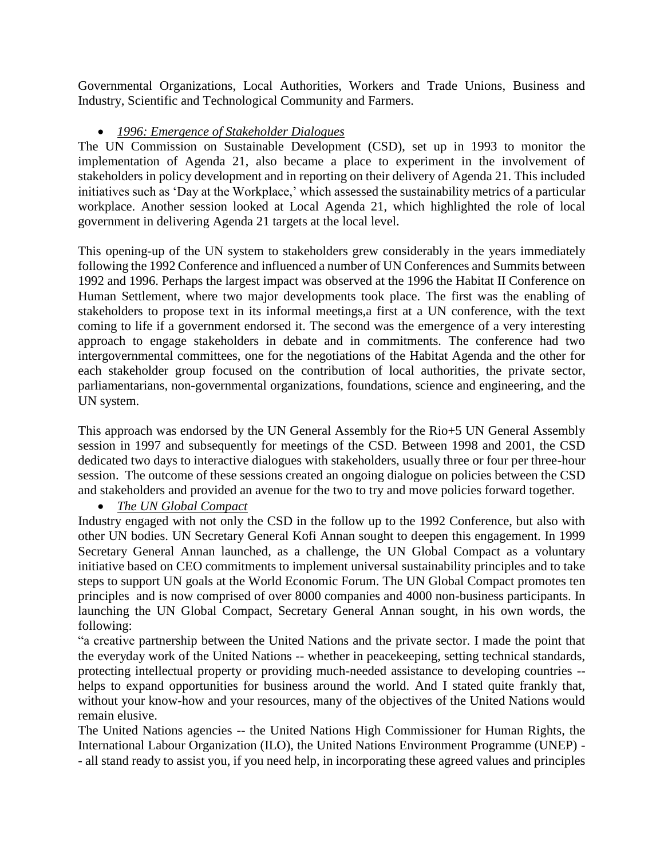Governmental Organizations, Local Authorities, Workers and Trade Unions, Business and Industry, Scientific and Technological Community and Farmers.

## • *1996: Emergence of Stakeholder Dialogues*

The UN Commission on Sustainable Development (CSD), set up in 1993 to monitor the implementation of Agenda 21, also became a place to experiment in the involvement of stakeholders in policy development and in reporting on their delivery of Agenda 21. This included initiatives such as 'Day at the Workplace,' which assessed the sustainability metrics of a particular workplace. Another session looked at Local Agenda 21, which highlighted the role of local government in delivering Agenda 21 targets at the local level.

This opening-up of the UN system to stakeholders grew considerably in the years immediately following the 1992 Conference and influenced a number of UN Conferences and Summits between 1992 and 1996. Perhaps the largest impact was observed at the 1996 the Habitat II Conference on Human Settlement, where two major developments took place. The first was the enabling of stakeholders to propose text in its informal meetings,a first at a UN conference, with the text coming to life if a government endorsed it. The second was the emergence of a very interesting approach to engage stakeholders in debate and in commitments. The conference had two intergovernmental committees, one for the negotiations of the Habitat Agenda and the other for each stakeholder group focused on the contribution of local authorities, the private sector, parliamentarians, non-governmental organizations, foundations, science and engineering, and the UN system.

This approach was endorsed by the UN General Assembly for the Rio+5 UN General Assembly session in 1997 and subsequently for meetings of the CSD. Between 1998 and 2001, the CSD dedicated two days to interactive dialogues with stakeholders, usually three or four per three-hour session. The outcome of these sessions created an ongoing dialogue on policies between the CSD and stakeholders and provided an avenue for the two to try and move policies forward together.

# • *The UN Global Compact*

Industry engaged with not only the CSD in the follow up to the 1992 Conference, but also with other UN bodies. UN Secretary General Kofi Annan sought to deepen this engagement. In 1999 Secretary General Annan launched, as a challenge, the UN Global Compact as a voluntary initiative based on CEO commitments to implement universal sustainability principles and to take steps to support UN goals at the World Economic Forum. The UN Global Compact promotes ten principles and is now comprised of over 8000 companies and 4000 non-business participants. In launching the UN Global Compact, Secretary General Annan sought, in his own words, the following:

"a creative partnership between the United Nations and the private sector. I made the point that the everyday work of the United Nations -- whether in peacekeeping, setting technical standards, protecting intellectual property or providing much-needed assistance to developing countries - helps to expand opportunities for business around the world. And I stated quite frankly that, without your know-how and your resources, many of the objectives of the United Nations would remain elusive.

The United Nations agencies -- the United Nations High Commissioner for Human Rights, the International Labour Organization (ILO), the United Nations Environment Programme (UNEP) - - all stand ready to assist you, if you need help, in incorporating these agreed values and principles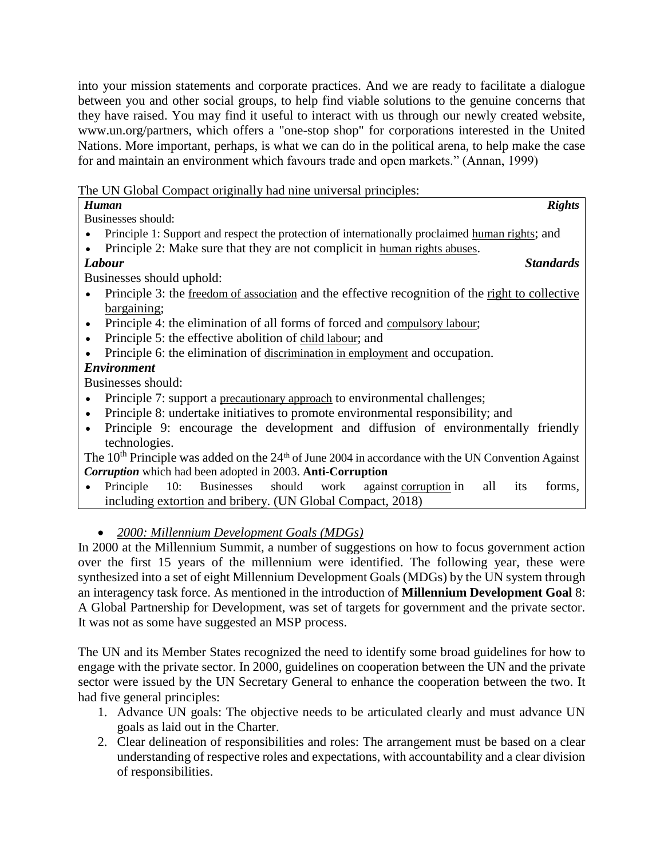into your mission statements and corporate practices. And we are ready to facilitate a dialogue between you and other social groups, to help find viable solutions to the genuine concerns that they have raised. You may find it useful to interact with us through our newly created website, www.un.org/partners, which offers a "one-stop shop" for corporations interested in the United Nations. More important, perhaps, is what we can do in the political arena, to help make the case for and maintain an environment which favours trade and open markets." (Annan, 1999)

The UN Global Compact originally had nine universal principles:

| <b>Rights</b><br>Human                                                                                       |
|--------------------------------------------------------------------------------------------------------------|
| Businesses should:                                                                                           |
| Principle 1: Support and respect the protection of internationally proclaimed human rights; and              |
| Principle 2: Make sure that they are not complicit in human rights abuses.                                   |
| Labour<br><b>Standards</b>                                                                                   |
| Businesses should uphold:                                                                                    |
| Principle 3: the freedom of association and the effective recognition of the right to collective             |
| bargaining;                                                                                                  |
| Principle 4: the elimination of all forms of forced and compulsory labour;                                   |
| Principle 5: the effective abolition of child labour; and                                                    |
| Principle 6: the elimination of discrimination in employment and occupation.                                 |
| <b>Environment</b>                                                                                           |
| Businesses should:                                                                                           |
| Principle 7: support a precautionary approach to environmental challenges;                                   |
| Principle 8: undertake initiatives to promote environmental responsibility; and                              |
| Principle 9: encourage the development and diffusion of environmentally friendly                             |
| technologies.                                                                                                |
| The $10^{th}$ Principle was added on the $24^{th}$ of June 2004 in accordance with the UN Convention Against |

*Corruption* which had been adopted in 2003. **Anti-Corruption**

• Principle 10: Businesses should work against [corruption](https://en.wikipedia.org/wiki/Political_corruption) in all its forms, including [extortion](https://en.wikipedia.org/wiki/Extortion) and [bribery.](https://en.wikipedia.org/wiki/Bribery) (UN Global Compact, 2018)

• *2000: Millennium Development Goals (MDGs)*

In 2000 at the Millennium Summit, a number of suggestions on how to focus government action over the first 15 years of the millennium were identified. The following year, these were synthesized into a set of eight Millennium Development Goals (MDGs) by the UN system through an interagency task force. As mentioned in the introduction of **Millennium Development Goal** 8: A Global Partnership for Development, was set of targets for government and the private sector. It was not as some have suggested an MSP process.

The UN and its Member States recognized the need to identify some broad guidelines for how to engage with the private sector. In 2000, guidelines on cooperation between the UN and the private sector were issued by the UN Secretary General to enhance the cooperation between the two. It had five general principles:

- 1. Advance UN goals: The objective needs to be articulated clearly and must advance UN goals as laid out in the Charter.
- 2. Clear delineation of responsibilities and roles: The arrangement must be based on a clear understanding of respective roles and expectations, with accountability and a clear division of responsibilities.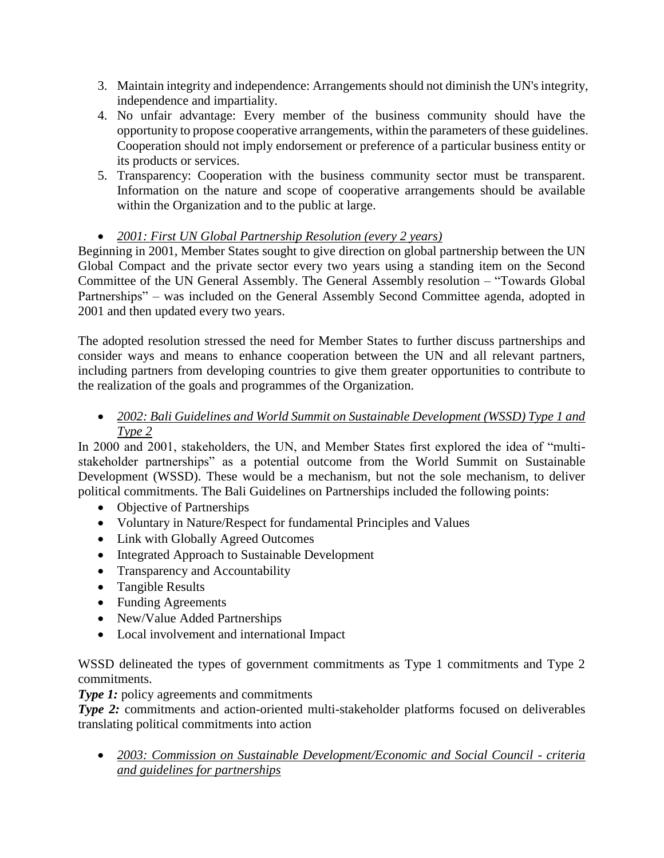- 3. Maintain integrity and independence: Arrangements should not diminish the UN's integrity, independence and impartiality.
- 4. No unfair advantage: Every member of the business community should have the opportunity to propose cooperative arrangements, within the parameters of these guidelines. Cooperation should not imply endorsement or preference of a particular business entity or its products or services.
- 5. Transparency: Cooperation with the business community sector must be transparent. Information on the nature and scope of cooperative arrangements should be available within the Organization and to the public at large.

# • *2001: First UN Global Partnership Resolution (every 2 years)*

Beginning in 2001, Member States sought to give direction on global partnership between the UN Global Compact and the private sector every two years using a standing item on the Second Committee of the UN General Assembly. The General Assembly resolution – "Towards Global Partnerships" – was included on the General Assembly Second Committee agenda, adopted in 2001 and then updated every two years.

The adopted resolution stressed the need for Member States to further discuss partnerships and consider ways and means to enhance cooperation between the UN and all relevant partners, including partners from developing countries to give them greater opportunities to contribute to the realization of the goals and programmes of the Organization.

• *2002: Bali Guidelines and World Summit on Sustainable Development (WSSD) Type 1 and Type 2*

In 2000 and 2001, stakeholders, the UN, and Member States first explored the idea of "multistakeholder partnerships" as a potential outcome from the World Summit on Sustainable Development (WSSD). These would be a mechanism, but not the sole mechanism, to deliver political commitments. The Bali Guidelines on Partnerships included the following points:

- Objective of Partnerships
- Voluntary in Nature/Respect for fundamental Principles and Values
- Link with Globally Agreed Outcomes
- Integrated Approach to Sustainable Development
- Transparency and Accountability
- Tangible Results
- Funding Agreements
- New/Value Added Partnerships
- Local involvement and international Impact

WSSD delineated the types of government commitments as Type 1 commitments and Type 2 commitments.

*Type 1:* policy agreements and commitments

**Type 2:** commitments and action-oriented multi-stakeholder platforms focused on deliverables translating political commitments into action

• *2003: Commission on Sustainable Development/Economic and Social Council - criteria and guidelines for partnerships*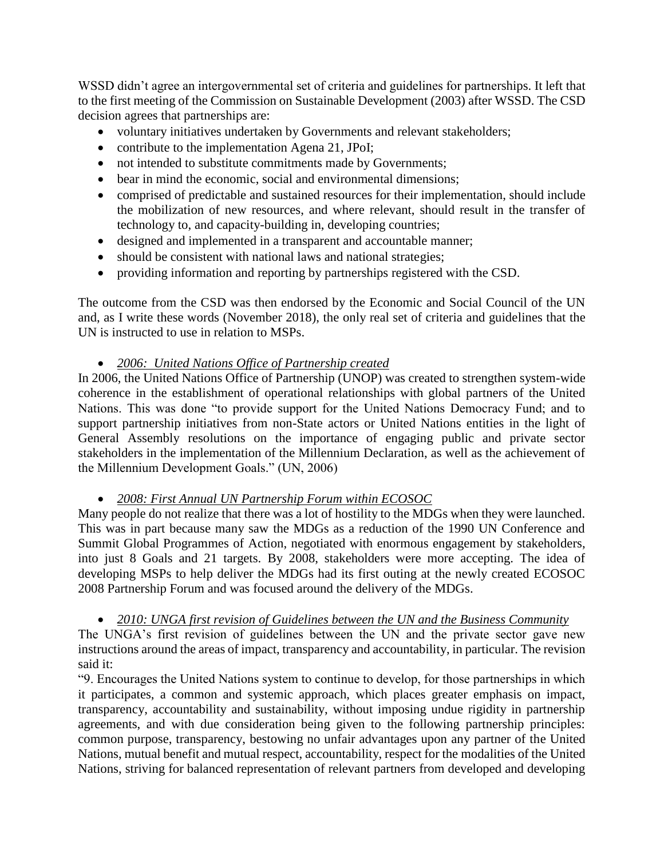WSSD didn't agree an intergovernmental set of criteria and guidelines for partnerships. It left that to the first meeting of the Commission on Sustainable Development (2003) after WSSD. The CSD decision agrees that partnerships are:

- voluntary initiatives undertaken by Governments and relevant stakeholders;
- contribute to the implementation Agena 21, JPoI;
- not intended to substitute commitments made by Governments;
- bear in mind the economic, social and environmental dimensions;
- comprised of predictable and sustained resources for their implementation, should include the mobilization of new resources, and where relevant, should result in the transfer of technology to, and capacity-building in, developing countries;
- designed and implemented in a transparent and accountable manner;
- should be consistent with national laws and national strategies;
- providing information and reporting by partnerships registered with the CSD.

The outcome from the CSD was then endorsed by the Economic and Social Council of the UN and, as I write these words (November 2018), the only real set of criteria and guidelines that the UN is instructed to use in relation to MSPs.

## • *2006: United Nations Office of Partnership created*

In 2006, the United Nations Office of Partnership (UNOP) was created to strengthen system-wide coherence in the establishment of operational relationships with global partners of the United Nations. This was done "to provide support for the United Nations Democracy Fund; and to support partnership initiatives from non-State actors or United Nations entities in the light of General Assembly resolutions on the importance of engaging public and private sector stakeholders in the implementation of the Millennium Declaration, as well as the achievement of the Millennium Development Goals." (UN, 2006)

• *2008: First Annual UN Partnership Forum within ECOSOC*

Many people do not realize that there was a lot of hostility to the MDGs when they were launched. This was in part because many saw the MDGs as a reduction of the 1990 UN Conference and Summit Global Programmes of Action, negotiated with enormous engagement by stakeholders, into just 8 Goals and 21 targets. By 2008, stakeholders were more accepting. The idea of developing MSPs to help deliver the MDGs had its first outing at the newly created ECOSOC 2008 Partnership Forum and was focused around the delivery of the MDGs.

## • *2010: UNGA first revision of Guidelines between the UN and the Business Community*

The UNGA's first revision of guidelines between the UN and the private sector gave new instructions around the areas of impact, transparency and accountability, in particular. The revision said it:

"9. Encourages the United Nations system to continue to develop, for those partnerships in which it participates, a common and systemic approach, which places greater emphasis on impact, transparency, accountability and sustainability, without imposing undue rigidity in partnership agreements, and with due consideration being given to the following partnership principles: common purpose, transparency, bestowing no unfair advantages upon any partner of the United Nations, mutual benefit and mutual respect, accountability, respect for the modalities of the United Nations, striving for balanced representation of relevant partners from developed and developing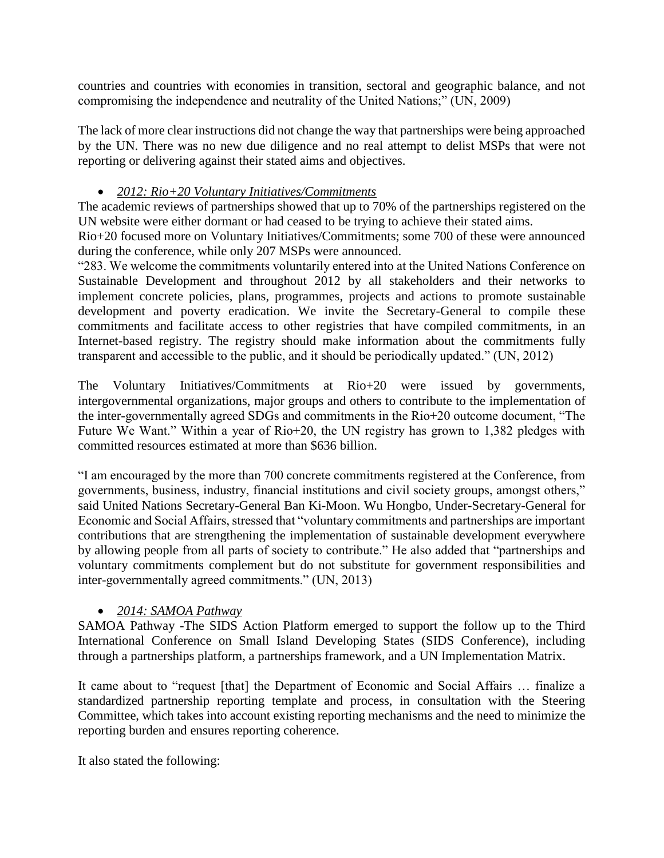countries and countries with economies in transition, sectoral and geographic balance, and not compromising the independence and neutrality of the United Nations;" (UN, 2009)

The lack of more clear instructions did not change the way that partnerships were being approached by the UN. There was no new due diligence and no real attempt to delist MSPs that were not reporting or delivering against their stated aims and objectives.

## • *2012: Rio+20 Voluntary Initiatives/Commitments*

The academic reviews of partnerships showed that up to 70% of the partnerships registered on the UN website were either dormant or had ceased to be trying to achieve their stated aims.

Rio+20 focused more on Voluntary Initiatives/Commitments; some 700 of these were announced during the conference, while only 207 MSPs were announced.

"283. We welcome the commitments voluntarily entered into at the United Nations Conference on Sustainable Development and throughout 2012 by all stakeholders and their networks to implement concrete policies, plans, programmes, projects and actions to promote sustainable development and poverty eradication. We invite the Secretary-General to compile these commitments and facilitate access to other registries that have compiled commitments, in an Internet-based registry. The registry should make information about the commitments fully transparent and accessible to the public, and it should be periodically updated." (UN, 2012)

The Voluntary Initiatives/Commitments at Rio+20 were issued by governments, intergovernmental organizations, major groups and others to contribute to the implementation of the inter-governmentally agreed SDGs and commitments in the Rio+20 outcome document, "The Future We Want." Within a year of Rio+20, the UN registry has grown to 1,382 pledges with committed resources estimated at more than \$636 billion.

"I am encouraged by the more than 700 concrete commitments registered at the Conference, from governments, business, industry, financial institutions and civil society groups, amongst others," said United Nations Secretary-General Ban Ki-Moon. Wu Hongbo, Under-Secretary-General for Economic and Social Affairs, stressed that "voluntary commitments and partnerships are important contributions that are strengthening the implementation of sustainable development everywhere by allowing people from all parts of society to contribute." He also added that "partnerships and voluntary commitments complement but do not substitute for government responsibilities and inter-governmentally agreed commitments." (UN, 2013)

# • *2014: SAMOA Pathway*

SAMOA Pathway -The SIDS Action Platform emerged to support the follow up to the Third International Conference on Small Island Developing States (SIDS Conference), including through a partnerships platform, a partnerships framework, and a UN Implementation Matrix.

It came about to "request [that] the Department of Economic and Social Affairs … finalize a standardized partnership reporting template and process, in consultation with the Steering Committee, which takes into account existing reporting mechanisms and the need to minimize the reporting burden and ensures reporting coherence.

It also stated the following: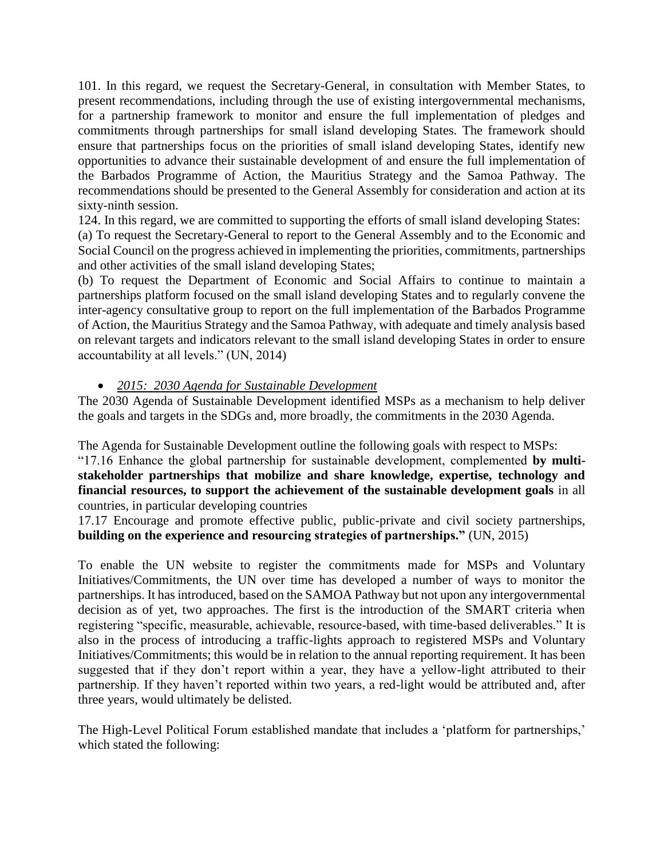101. In this regard, we request the Secretary-General, in consultation with Member States, to present recommendations, including through the use of existing intergovernmental mechanisms, for a partnership framework to monitor and ensure the full implementation of pledges and commitments through partnerships for small island developing States. The framework should ensure that partnerships focus on the priorities of small island developing States, identify new opportunities to advance their sustainable development of and ensure the full implementation of the Barbados Programme of Action, the Mauritius Strategy and the Samoa Pathway. The recommendations should be presented to the General Assembly for consideration and action at its sixty-ninth session.

124. In this regard, we are committed to supporting the efforts of small island developing States: (a) To request the Secretary-General to report to the General Assembly and to the Economic and Social Council on the progress achieved in implementing the priorities, commitments, partnerships and other activities of the small island developing States;

(b) To request the Department of Economic and Social Affairs to continue to maintain a partnerships platform focused on the small island developing States and to regularly convene the inter-agency consultative group to report on the full implementation of the Barbados Programme of Action, the Mauritius Strategy and the Samoa Pathway, with adequate and timely analysis based on relevant targets and indicators relevant to the small island developing States in order to ensure accountability at all levels." (UN, 2014)

## • *2015: 2030 Agenda for Sustainable Development*

The 2030 Agenda of Sustainable Development identified MSPs as a mechanism to help deliver the goals and targets in the SDGs and, more broadly, the commitments in the 2030 Agenda.

The Agenda for Sustainable Development outline the following goals with respect to MSPs:

"17.16 Enhance the global partnership for sustainable development, complemented **by multistakeholder partnerships that mobilize and share knowledge, expertise, technology and financial resources, to support the achievement of the sustainable development goals** in all countries, in particular developing countries

17.17 Encourage and promote effective public, public-private and civil society partnerships, **building on the experience and resourcing strategies of partnerships."** (UN, 2015)

To enable the UN website to register the commitments made for MSPs and Voluntary Initiatives/Commitments, the UN over time has developed a number of ways to monitor the partnerships. It has introduced, based on the SAMOA Pathway but not upon any intergovernmental decision as of yet, two approaches. The first is the introduction of the SMART criteria when registering "specific, measurable, achievable, resource-based, with time-based deliverables." It is also in the process of introducing a traffic-lights approach to registered MSPs and Voluntary Initiatives/Commitments; this would be in relation to the annual reporting requirement. It has been suggested that if they don't report within a year, they have a yellow-light attributed to their partnership. If they haven't reported within two years, a red-light would be attributed and, after three years, would ultimately be delisted.

The High-Level Political Forum established mandate that includes a 'platform for partnerships,' which stated the following: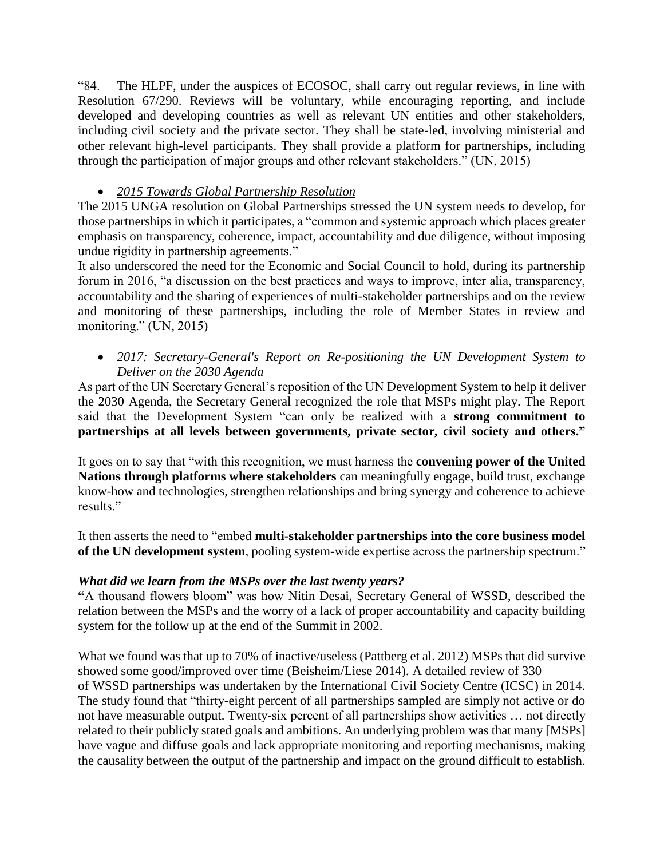"84. The HLPF, under the auspices of ECOSOC, shall carry out regular reviews, in line with Resolution 67/290. Reviews will be voluntary, while encouraging reporting, and include developed and developing countries as well as relevant UN entities and other stakeholders, including civil society and the private sector. They shall be state-led, involving ministerial and other relevant high-level participants. They shall provide a platform for partnerships, including through the participation of major groups and other relevant stakeholders." (UN, 2015)

## • *2015 Towards Global Partnership Resolution*

The 2015 UNGA resolution on Global Partnerships stressed the UN system needs to develop, for those partnerships in which it participates, a "common and systemic approach which places greater emphasis on transparency, coherence, impact, accountability and due diligence, without imposing undue rigidity in partnership agreements."

It also underscored the need for the Economic and Social Council to hold, during its partnership forum in 2016, "a discussion on the best practices and ways to improve, inter alia, transparency, accountability and the sharing of experiences of multi-stakeholder partnerships and on the review and monitoring of these partnerships, including the role of Member States in review and monitoring." (UN, 2015)

## • *2017: Secretary-General's Report on Re-positioning the UN Development System to Deliver on the 2030 Agenda*

As part of the UN Secretary General's reposition of the UN Development System to help it deliver the 2030 Agenda, the Secretary General recognized the role that MSPs might play. The Report said that the Development System "can only be realized with a **strong commitment to partnerships at all levels between governments, private sector, civil society and others."**

It goes on to say that "with this recognition, we must harness the **convening power of the United Nations through platforms where stakeholders** can meaningfully engage, build trust, exchange know-how and technologies, strengthen relationships and bring synergy and coherence to achieve results."

It then asserts the need to "embed **multi-stakeholder partnerships into the core business model of the UN development system**, pooling system-wide expertise across the partnership spectrum."

## *What did we learn from the MSPs over the last twenty years?*

**"**A thousand flowers bloom" was how Nitin Desai, Secretary General of WSSD, described the relation between the MSPs and the worry of a lack of proper accountability and capacity building system for the follow up at the end of the Summit in 2002.

What we found was that up to 70% of inactive/useless (Pattberg et al. 2012) MSPs that did survive showed some good/improved over time (Beisheim/Liese 2014). A detailed review of 330 of WSSD partnerships was undertaken by the International Civil Society Centre (ICSC) in 2014. The study found that "thirty-eight percent of all partnerships sampled are simply not active or do not have measurable output. Twenty-six percent of all partnerships show activities … not directly related to their publicly stated goals and ambitions. An underlying problem was that many [MSPs] have vague and diffuse goals and lack appropriate monitoring and reporting mechanisms, making the causality between the output of the partnership and impact on the ground difficult to establish.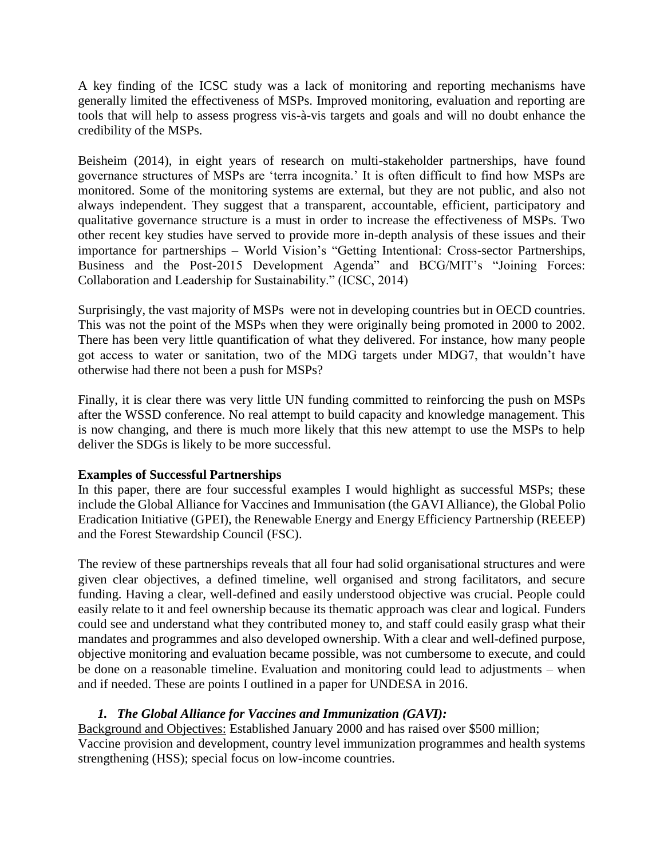A key finding of the ICSC study was a lack of monitoring and reporting mechanisms have generally limited the effectiveness of MSPs. Improved monitoring, evaluation and reporting are tools that will help to assess progress vis-à-vis targets and goals and will no doubt enhance the credibility of the MSPs.

Beisheim (2014), in eight years of research on multi-stakeholder partnerships, have found governance structures of MSPs are 'terra incognita.' It is often difficult to find how MSPs are monitored. Some of the monitoring systems are external, but they are not public, and also not always independent. They suggest that a transparent, accountable, efficient, participatory and qualitative governance structure is a must in order to increase the effectiveness of MSPs. Two other recent key studies have served to provide more in-depth analysis of these issues and their importance for partnerships – World Vision's "Getting Intentional: Cross-sector Partnerships, Business and the Post-2015 Development Agenda" and BCG/MIT's "Joining Forces: Collaboration and Leadership for Sustainability." (ICSC, 2014)

Surprisingly, the vast majority of MSPs were not in developing countries but in OECD countries. This was not the point of the MSPs when they were originally being promoted in 2000 to 2002. There has been very little quantification of what they delivered. For instance, how many people got access to water or sanitation, two of the MDG targets under MDG7, that wouldn't have otherwise had there not been a push for MSPs?

Finally, it is clear there was very little UN funding committed to reinforcing the push on MSPs after the WSSD conference. No real attempt to build capacity and knowledge management. This is now changing, and there is much more likely that this new attempt to use the MSPs to help deliver the SDGs is likely to be more successful.

#### **Examples of Successful Partnerships**

In this paper, there are four successful examples I would highlight as successful MSPs; these include the Global Alliance for Vaccines and Immunisation (the GAVI Alliance), the Global Polio Eradication Initiative (GPEI), the Renewable Energy and Energy Efficiency Partnership (REEEP) and the Forest Stewardship Council (FSC).

The review of these partnerships reveals that all four had solid organisational structures and were given clear objectives, a defined timeline, well organised and strong facilitators, and secure funding. Having a clear, well-defined and easily understood objective was crucial. People could easily relate to it and feel ownership because its thematic approach was clear and logical. Funders could see and understand what they contributed money to, and staff could easily grasp what their mandates and programmes and also developed ownership. With a clear and well-defined purpose, objective monitoring and evaluation became possible, was not cumbersome to execute, and could be done on a reasonable timeline. Evaluation and monitoring could lead to adjustments – when and if needed. These are points I outlined in a paper for UNDESA in 2016.

## *1. The Global Alliance for Vaccines and Immunization (GAVI):*

Background and Objectives: Established January 2000 and has raised over \$500 million; Vaccine provision and development, country level immunization programmes and health systems strengthening (HSS); special focus on low-income countries.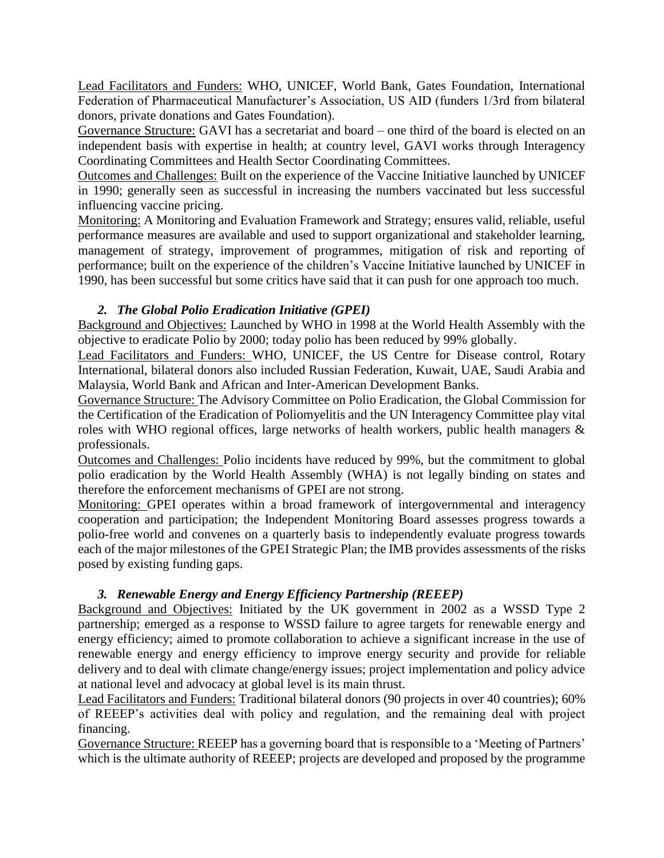Lead Facilitators and Funders: WHO, UNICEF, World Bank, Gates Foundation, International Federation of Pharmaceutical Manufacturer's Association, US AID (funders 1/3rd from bilateral donors, private donations and Gates Foundation).

Governance Structure: GAVI has a secretariat and board – one third of the board is elected on an independent basis with expertise in health; at country level, GAVI works through Interagency Coordinating Committees and Health Sector Coordinating Committees.

Outcomes and Challenges: Built on the experience of the Vaccine Initiative launched by UNICEF in 1990; generally seen as successful in increasing the numbers vaccinated but less successful influencing vaccine pricing.

Monitoring: A Monitoring and Evaluation Framework and Strategy; ensures valid, reliable, useful performance measures are available and used to support organizational and stakeholder learning, management of strategy, improvement of programmes, mitigation of risk and reporting of performance; built on the experience of the children's Vaccine Initiative launched by UNICEF in 1990, has been successful but some critics have said that it can push for one approach too much.

## *2. The Global Polio Eradication Initiative (GPEI)*

Background and Objectives: Launched by WHO in 1998 at the World Health Assembly with the objective to eradicate Polio by 2000; today polio has been reduced by 99% globally.

Lead Facilitators and Funders: WHO, UNICEF, the US Centre for Disease control, Rotary International, bilateral donors also included Russian Federation, Kuwait, UAE, Saudi Arabia and Malaysia, World Bank and African and Inter-American Development Banks.

Governance Structure: The Advisory Committee on Polio Eradication, the Global Commission for the Certification of the Eradication of Poliomyelitis and the UN Interagency Committee play vital roles with WHO regional offices, large networks of health workers, public health managers & professionals.

Outcomes and Challenges: Polio incidents have reduced by 99%, but the commitment to global polio eradication by the World Health Assembly (WHA) is not legally binding on states and therefore the enforcement mechanisms of GPEI are not strong.

Monitoring: GPEI operates within a broad framework of intergovernmental and interagency cooperation and participation; the Independent Monitoring Board assesses progress towards a polio-free world and convenes on a quarterly basis to independently evaluate progress towards each of the major milestones of the GPEI Strategic Plan; the IMB provides assessments of the risks posed by existing funding gaps.

# *3. Renewable Energy and Energy Efficiency Partnership (REEEP)*

Background and Objectives: Initiated by the UK government in 2002 as a WSSD Type 2 partnership; emerged as a response to WSSD failure to agree targets for renewable energy and energy efficiency; aimed to promote collaboration to achieve a significant increase in the use of renewable energy and energy efficiency to improve energy security and provide for reliable delivery and to deal with climate change/energy issues; project implementation and policy advice at national level and advocacy at global level is its main thrust.

Lead Facilitators and Funders: Traditional bilateral donors (90 projects in over 40 countries); 60% of REEEP's activities deal with policy and regulation, and the remaining deal with project financing.

Governance Structure: REEEP has a governing board that is responsible to a 'Meeting of Partners' which is the ultimate authority of REEEP; projects are developed and proposed by the programme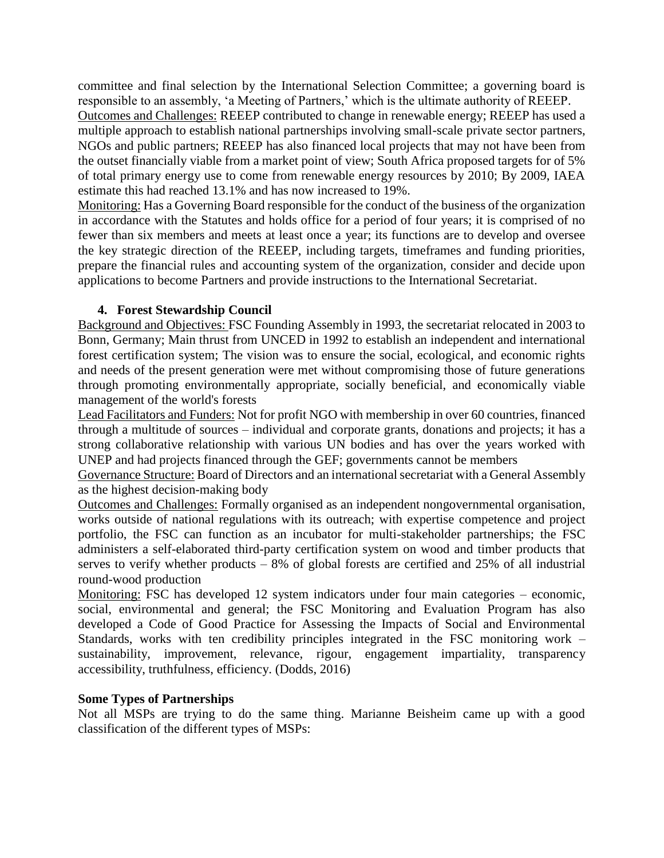committee and final selection by the International Selection Committee; a governing board is responsible to an assembly, 'a Meeting of Partners,' which is the ultimate authority of REEEP.

Outcomes and Challenges: REEEP contributed to change in renewable energy; REEEP has used a multiple approach to establish national partnerships involving small-scale private sector partners, NGOs and public partners; REEEP has also financed local projects that may not have been from the outset financially viable from a market point of view; South Africa proposed targets for of 5% of total primary energy use to come from renewable energy resources by 2010; By 2009, IAEA estimate this had reached 13.1% and has now increased to 19%.

Monitoring: Has a Governing Board responsible for the conduct of the business of the organization in accordance with the Statutes and holds office for a period of four years; it is comprised of no fewer than six members and meets at least once a year; its functions are to develop and oversee the key strategic direction of the REEEP, including targets, timeframes and funding priorities, prepare the financial rules and accounting system of the organization, consider and decide upon applications to become Partners and provide instructions to the International Secretariat.

#### **4. Forest Stewardship Council**

Background and Objectives: FSC Founding Assembly in 1993, the secretariat relocated in 2003 to Bonn, Germany; Main thrust from UNCED in 1992 to establish an independent and international forest certification system; The vision was to ensure the social, ecological, and economic rights and needs of the present generation were met without compromising those of future generations through promoting environmentally appropriate, socially beneficial, and economically viable management of the world's forests

Lead Facilitators and Funders: Not for profit NGO with membership in over 60 countries, financed through a multitude of sources – individual and corporate grants, donations and projects; it has a strong collaborative relationship with various UN bodies and has over the years worked with UNEP and had projects financed through the GEF; governments cannot be members

Governance Structure: Board of Directors and an international secretariat with a General Assembly as the highest decision-making body

Outcomes and Challenges: Formally organised as an independent nongovernmental organisation, works outside of national regulations with its outreach; with expertise competence and project portfolio, the FSC can function as an incubator for multi-stakeholder partnerships; the FSC administers a self-elaborated third-party certification system on wood and timber products that serves to verify whether products – 8% of global forests are certified and 25% of all industrial round-wood production

Monitoring: FSC has developed 12 system indicators under four main categories – economic, social, environmental and general; the FSC Monitoring and Evaluation Program has also developed a Code of Good Practice for Assessing the Impacts of Social and Environmental Standards, works with ten credibility principles integrated in the FSC monitoring work – sustainability, improvement, relevance, rigour, engagement impartiality, transparency accessibility, truthfulness, efficiency. (Dodds, 2016)

#### **Some Types of Partnerships**

Not all MSPs are trying to do the same thing. Marianne Beisheim came up with a good classification of the different types of MSPs: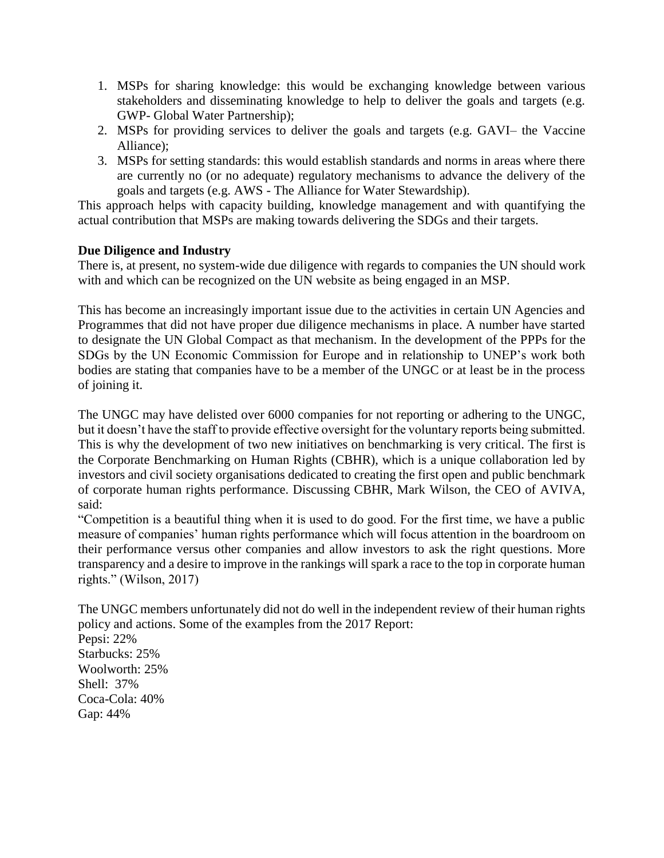- 1. MSPs for sharing knowledge: this would be exchanging knowledge between various stakeholders and disseminating knowledge to help to deliver the goals and targets (e.g. GWP- Global Water Partnership);
- 2. MSPs for providing services to deliver the goals and targets (e.g. GAVI– the Vaccine Alliance);
- 3. MSPs for setting standards: this would establish standards and norms in areas where there are currently no (or no adequate) regulatory mechanisms to advance the delivery of the goals and targets (e.g. AWS - The Alliance for Water Stewardship).

This approach helps with capacity building, knowledge management and with quantifying the actual contribution that MSPs are making towards delivering the SDGs and their targets.

### **Due Diligence and Industry**

There is, at present, no system-wide due diligence with regards to companies the UN should work with and which can be recognized on the UN website as being engaged in an MSP.

This has become an increasingly important issue due to the activities in certain UN Agencies and Programmes that did not have proper due diligence mechanisms in place. A number have started to designate the UN Global Compact as that mechanism. In the development of the PPPs for the SDGs by the UN Economic Commission for Europe and in relationship to UNEP's work both bodies are stating that companies have to be a member of the UNGC or at least be in the process of joining it.

The UNGC may have delisted over 6000 companies for not reporting or adhering to the UNGC, but it doesn't have the staff to provide effective oversight for the voluntary reports being submitted. This is why the development of two new initiatives on benchmarking is very critical. The first is the Corporate Benchmarking on Human Rights (CBHR), which is a unique collaboration led by investors and civil society organisations dedicated to creating the first open and public benchmark of corporate human rights performance. Discussing CBHR, Mark Wilson, the CEO of AVIVA, said:

"Competition is a beautiful thing when it is used to do good. For the first time, we have a public measure of companies' human rights performance which will focus attention in the boardroom on their performance versus other companies and allow investors to ask the right questions. More transparency and a desire to improve in the rankings will spark a race to the top in corporate human rights." (Wilson, 2017)

The UNGC members unfortunately did not do well in the independent review of their human rights policy and actions. Some of the examples from the 2017 Report:

Pepsi: 22% Starbucks: 25% Woolworth: 25% Shell: 37% Coca-Cola: 40% Gap: 44%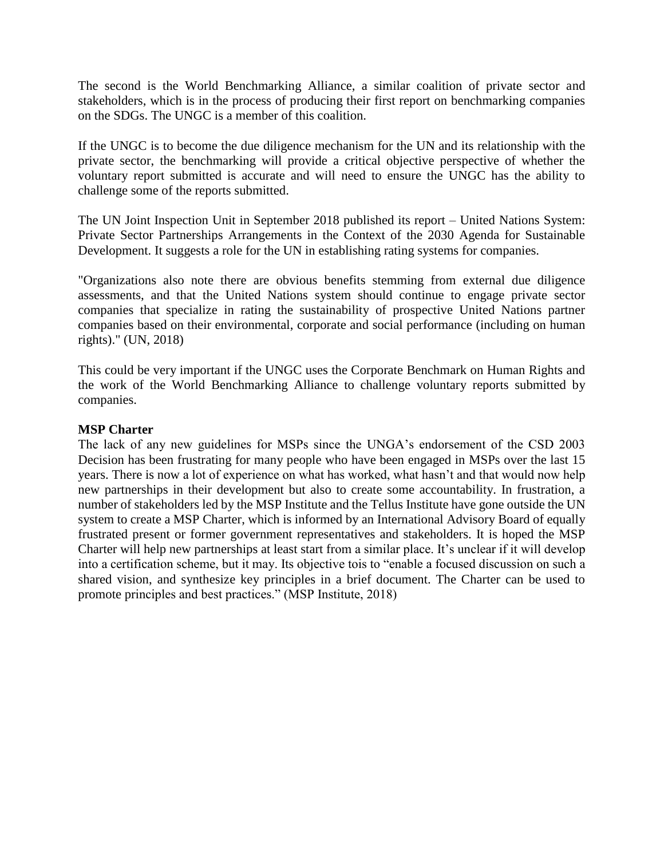The second is the World Benchmarking Alliance, a similar coalition of private sector and stakeholders, which is in the process of producing their first report on benchmarking companies on the SDGs. The UNGC is a member of this coalition.

If the UNGC is to become the due diligence mechanism for the UN and its relationship with the private sector, the benchmarking will provide a critical objective perspective of whether the voluntary report submitted is accurate and will need to ensure the UNGC has the ability to challenge some of the reports submitted.

The UN Joint Inspection Unit in September 2018 published its report – United Nations System: Private Sector Partnerships Arrangements in the Context of the 2030 Agenda for Sustainable Development. It suggests a role for the UN in establishing rating systems for companies.

"Organizations also note there are obvious benefits stemming from external due diligence assessments, and that the United Nations system should continue to engage private sector companies that specialize in rating the sustainability of prospective United Nations partner companies based on their environmental, corporate and social performance (including on human rights)." (UN, 2018)

This could be very important if the UNGC uses the Corporate Benchmark on Human Rights and the work of the World Benchmarking Alliance to challenge voluntary reports submitted by companies.

#### **MSP Charter**

The lack of any new guidelines for MSPs since the UNGA's endorsement of the CSD 2003 Decision has been frustrating for many people who have been engaged in MSPs over the last 15 years. There is now a lot of experience on what has worked, what hasn't and that would now help new partnerships in their development but also to create some accountability. In frustration, a number of stakeholders led by the MSP Institute and the Tellus Institute have gone outside the UN system to create a MSP Charter, which is informed by an International Advisory Board of equally frustrated present or former government representatives and stakeholders. It is hoped the MSP Charter will help new partnerships at least start from a similar place. It's unclear if it will develop into a certification scheme, but it may. Its objective tois to "enable a focused discussion on such a shared vision, and synthesize key principles in a brief document. The Charter can be used to promote principles and best practices." (MSP Institute, 2018)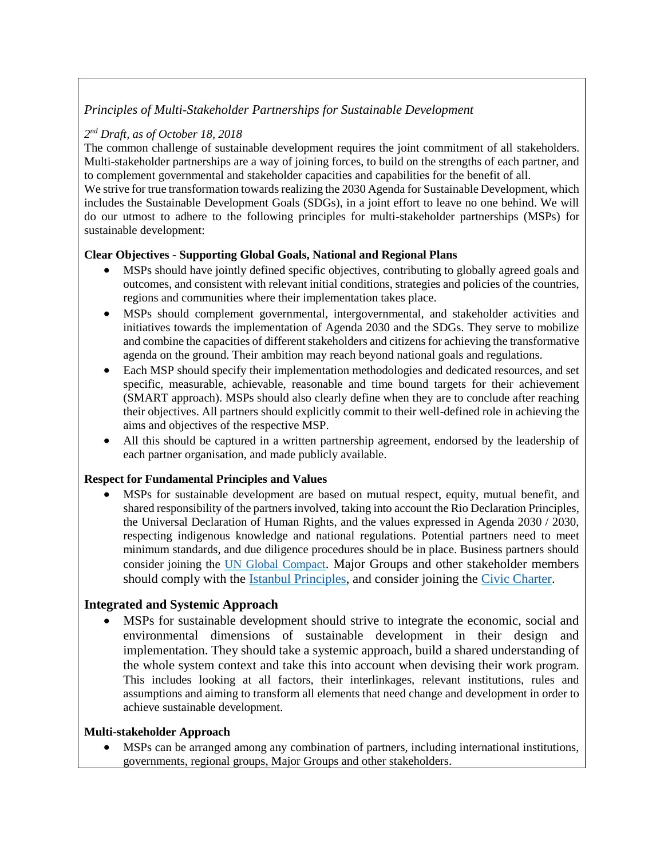## *Principles of Multi-Stakeholder Partnerships for Sustainable Development*

### *2 nd Draft, as of October 18, 2018*

The common challenge of sustainable development requires the joint commitment of all stakeholders. Multi-stakeholder partnerships are a way of joining forces, to build on the strengths of each partner, and to complement governmental and stakeholder capacities and capabilities for the benefit of all.

We strive for true transformation towards realizing the 2030 Agenda for Sustainable Development, which includes the Sustainable Development Goals (SDGs), in a joint effort to leave no one behind. We will do our utmost to adhere to the following principles for multi-stakeholder partnerships (MSPs) for sustainable development:

### **Clear Objectives - Supporting Global Goals, National and Regional Plans**

- MSPs should have jointly defined specific objectives, contributing to globally agreed goals and outcomes, and consistent with relevant initial conditions, strategies and policies of the countries, regions and communities where their implementation takes place.
- MSPs should complement governmental, intergovernmental, and stakeholder activities and initiatives towards the implementation of Agenda 2030 and the SDGs. They serve to mobilize and combine the capacities of different stakeholders and citizens for achieving the transformative agenda on the ground. Their ambition may reach beyond national goals and regulations.
- Each MSP should specify their implementation methodologies and dedicated resources, and set specific, measurable, achievable, reasonable and time bound targets for their achievement (SMART approach). MSPs should also clearly define when they are to conclude after reaching their objectives. All partners should explicitly commit to their well-defined role in achieving the aims and objectives of the respective MSP.
- All this should be captured in a written partnership agreement, endorsed by the leadership of each partner organisation, and made publicly available.

#### **Respect for Fundamental Principles and Values**

• MSPs for sustainable development are based on mutual respect, equity, mutual benefit, and shared responsibility of the partners involved, taking into account the Rio Declaration Principles, the Universal Declaration of Human Rights, and the values expressed in Agenda 2030 / 2030, respecting indigenous knowledge and national regulations. Potential partners need to meet minimum standards, and due diligence procedures should be in place. Business partners should consider joining the [UN Global Compact](https://www.unglobalcompact.org/). Major Groups and other stakeholder members should comply with the [Istanbul Principles,](http://www.csopartnership.org/single-post/2018/02/15/Istanbul-Principles-for-CSO-Development-Effectiveness) and consider joining the [Civic Charter.](https://icscentre.org/our-work/civic-charter/)

## **Integrated and Systemic Approach**

MSPs for sustainable development should strive to integrate the economic, social and environmental dimensions of sustainable development in their design and implementation. They should take a systemic approach, build a shared understanding of the whole system context and take this into account when devising their work program. This includes looking at all factors, their interlinkages, relevant institutions, rules and assumptions and aiming to transform all elements that need change and development in order to achieve sustainable development.

#### **Multi-stakeholder Approach**

• MSPs can be arranged among any combination of partners, including international institutions, governments, regional groups, Major Groups and other stakeholders.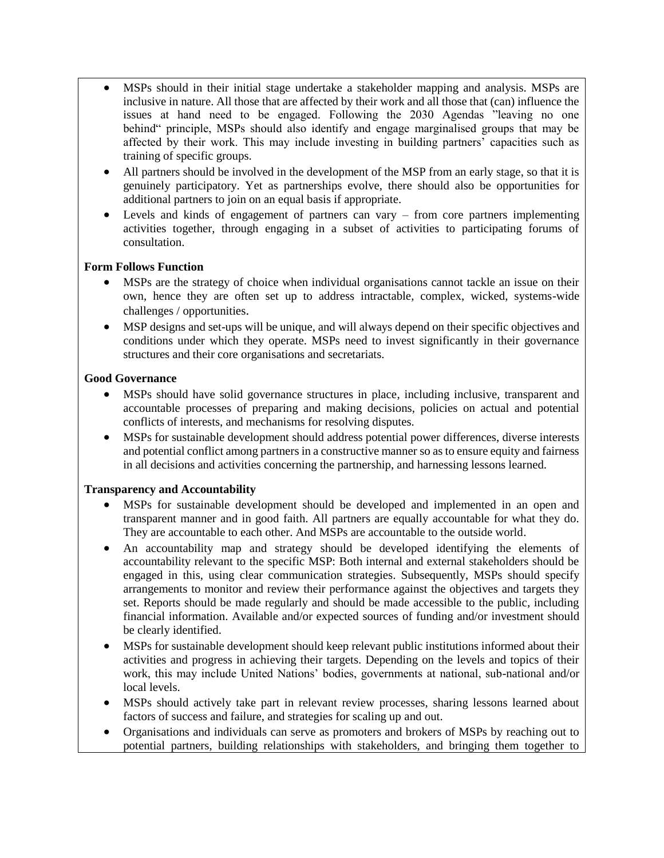- MSPs should in their initial stage undertake a stakeholder mapping and analysis. MSPs are inclusive in nature. All those that are affected by their work and all those that (can) influence the issues at hand need to be engaged. Following the 2030 Agendas "leaving no one behind" principle, MSPs should also identify and engage marginalised groups that may be affected by their work. This may include investing in building partners' capacities such as training of specific groups.
- All partners should be involved in the development of the MSP from an early stage, so that it is genuinely participatory. Yet as partnerships evolve, there should also be opportunities for additional partners to join on an equal basis if appropriate.
- Levels and kinds of engagement of partners can vary  $-$  from core partners implementing activities together, through engaging in a subset of activities to participating forums of consultation.

#### **Form Follows Function**

- MSPs are the strategy of choice when individual organisations cannot tackle an issue on their own, hence they are often set up to address intractable, complex, wicked, systems-wide challenges / opportunities.
- MSP designs and set-ups will be unique, and will always depend on their specific objectives and conditions under which they operate. MSPs need to invest significantly in their governance structures and their core organisations and secretariats.

#### **Good Governance**

- MSPs should have solid governance structures in place, including inclusive, transparent and accountable processes of preparing and making decisions, policies on actual and potential conflicts of interests, and mechanisms for resolving disputes.
- MSPs for sustainable development should address potential power differences, diverse interests and potential conflict among partners in a constructive manner so as to ensure equity and fairness in all decisions and activities concerning the partnership, and harnessing lessons learned.

#### **Transparency and Accountability**

- MSPs for sustainable development should be developed and implemented in an open and transparent manner and in good faith. All partners are equally accountable for what they do. They are accountable to each other. And MSPs are accountable to the outside world.
- An accountability map and strategy should be developed identifying the elements of accountability relevant to the specific MSP: Both internal and external stakeholders should be engaged in this, using clear communication strategies. Subsequently, MSPs should specify arrangements to monitor and review their performance against the objectives and targets they set. Reports should be made regularly and should be made accessible to the public, including financial information. Available and/or expected sources of funding and/or investment should be clearly identified.
- MSPs for sustainable development should keep relevant public institutions informed about their activities and progress in achieving their targets. Depending on the levels and topics of their work, this may include United Nations' bodies, governments at national, sub-national and/or local levels.
- MSPs should actively take part in relevant review processes, sharing lessons learned about factors of success and failure, and strategies for scaling up and out.
- Organisations and individuals can serve as promoters and brokers of MSPs by reaching out to potential partners, building relationships with stakeholders, and bringing them together to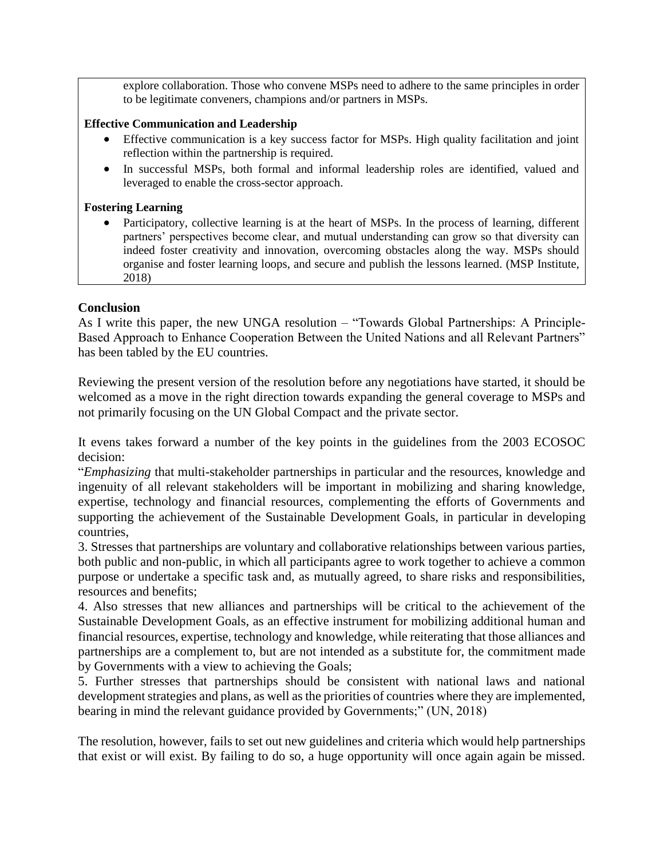explore collaboration. Those who convene MSPs need to adhere to the same principles in order to be legitimate conveners, champions and/or partners in MSPs.

#### **Effective Communication and Leadership**

- Effective communication is a key success factor for MSPs. High quality facilitation and joint reflection within the partnership is required.
- In successful MSPs, both formal and informal leadership roles are identified, valued and leveraged to enable the cross-sector approach.

#### **Fostering Learning**

• Participatory, collective learning is at the heart of MSPs. In the process of learning, different partners' perspectives become clear, and mutual understanding can grow so that diversity can indeed foster creativity and innovation, overcoming obstacles along the way. MSPs should organise and foster learning loops, and secure and publish the lessons learned. (MSP Institute, 2018)

### **Conclusion**

As I write this paper, the new UNGA resolution – "Towards Global Partnerships: A Principle-Based Approach to Enhance Cooperation Between the United Nations and all Relevant Partners" has been tabled by the EU countries.

Reviewing the present version of the resolution before any negotiations have started, it should be welcomed as a move in the right direction towards expanding the general coverage to MSPs and not primarily focusing on the UN Global Compact and the private sector.

It evens takes forward a number of the key points in the guidelines from the 2003 ECOSOC decision:

"*Emphasizing* that multi-stakeholder partnerships in particular and the resources, knowledge and ingenuity of all relevant stakeholders will be important in mobilizing and sharing knowledge, expertise, technology and financial resources, complementing the efforts of Governments and supporting the achievement of the Sustainable Development Goals, in particular in developing countries,

3. Stresses that partnerships are voluntary and collaborative relationships between various parties, both public and non-public, in which all participants agree to work together to achieve a common purpose or undertake a specific task and, as mutually agreed, to share risks and responsibilities, resources and benefits;

4. Also stresses that new alliances and partnerships will be critical to the achievement of the Sustainable Development Goals, as an effective instrument for mobilizing additional human and financial resources, expertise, technology and knowledge, while reiterating that those alliances and partnerships are a complement to, but are not intended as a substitute for, the commitment made by Governments with a view to achieving the Goals;

5. Further stresses that partnerships should be consistent with national laws and national development strategies and plans, as well as the priorities of countries where they are implemented, bearing in mind the relevant guidance provided by Governments;" (UN, 2018)

The resolution, however, fails to set out new guidelines and criteria which would help partnerships that exist or will exist. By failing to do so, a huge opportunity will once again again be missed.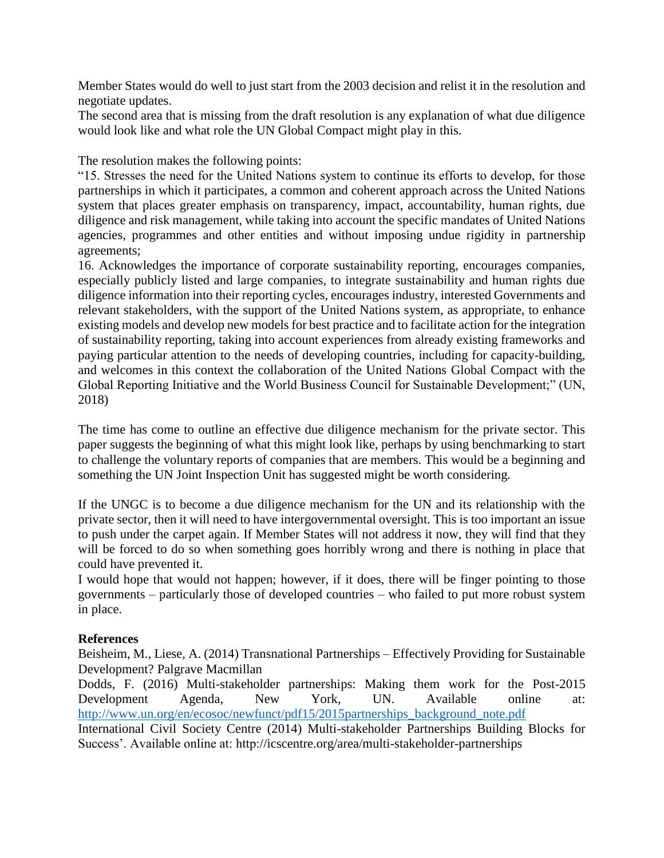Member States would do well to just start from the 2003 decision and relist it in the resolution and negotiate updates.

The second area that is missing from the draft resolution is any explanation of what due diligence would look like and what role the UN Global Compact might play in this.

The resolution makes the following points:

"15. Stresses the need for the United Nations system to continue its efforts to develop, for those partnerships in which it participates, a common and coherent approach across the United Nations system that places greater emphasis on transparency, impact, accountability, human rights, due diligence and risk management, while taking into account the specific mandates of United Nations agencies, programmes and other entities and without imposing undue rigidity in partnership agreements;

16. Acknowledges the importance of corporate sustainability reporting, encourages companies, especially publicly listed and large companies, to integrate sustainability and human rights due diligence information into their reporting cycles, encourages industry, interested Governments and relevant stakeholders, with the support of the United Nations system, as appropriate, to enhance existing models and develop new models for best practice and to facilitate action for the integration of sustainability reporting, taking into account experiences from already existing frameworks and paying particular attention to the needs of developing countries, including for capacity-building, and welcomes in this context the collaboration of the United Nations Global Compact with the Global Reporting Initiative and the World Business Council for Sustainable Development;" (UN, 2018)

The time has come to outline an effective due diligence mechanism for the private sector. This paper suggests the beginning of what this might look like, perhaps by using benchmarking to start to challenge the voluntary reports of companies that are members. This would be a beginning and something the UN Joint Inspection Unit has suggested might be worth considering.

If the UNGC is to become a due diligence mechanism for the UN and its relationship with the private sector, then it will need to have intergovernmental oversight. This is too important an issue to push under the carpet again. If Member States will not address it now, they will find that they will be forced to do so when something goes horribly wrong and there is nothing in place that could have prevented it.

I would hope that would not happen; however, if it does, there will be finger pointing to those governments – particularly those of developed countries – who failed to put more robust system in place.

#### **References**

Beisheim, M., Liese, A. (2014) Transnational Partnerships – Effectively Providing for Sustainable Development? Palgrave Macmillan

Dodds, F. (2016) Multi-stakeholder partnerships: Making them work for the Post-2015 Development Agenda, New York, UN. Available online at: [http://www.un.org/en/ecosoc/newfunct/pdf15/2015partnerships\\_background\\_note.pdf](http://www.un.org/en/ecosoc/newfunct/pdf15/2015partnerships_background_note.pdf)

International Civil Society Centre (2014) Multi-stakeholder Partnerships Building Blocks for Success'. Available online at: http://icscentre.org/area/multi-stakeholder-partnerships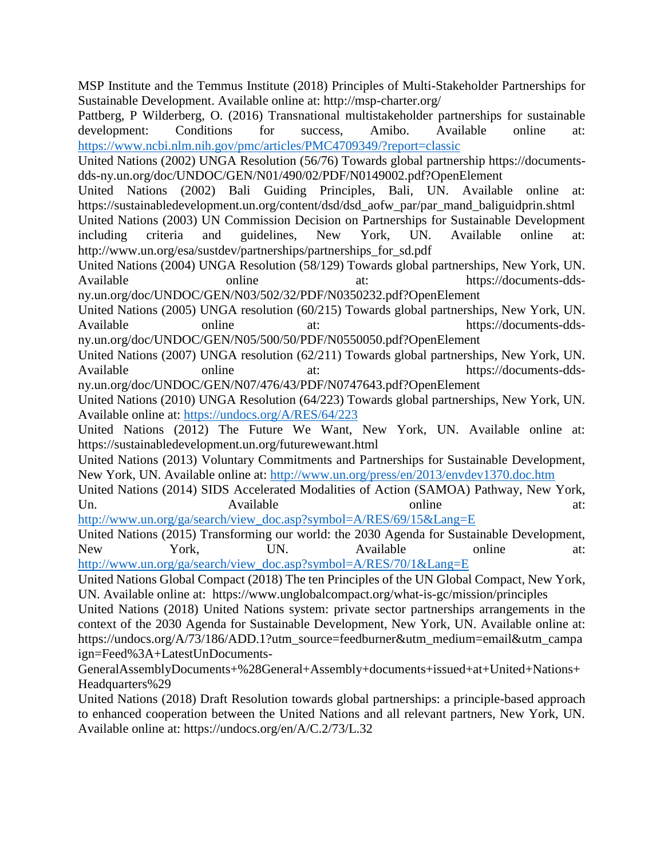MSP Institute and the Temmus Institute (2018) Principles of Multi-Stakeholder Partnerships for Sustainable Development. Available online at: http://msp-charter.org/

Pattberg, P Wilderberg, O. (2016) Transnational multistakeholder partnerships for sustainable development: Conditions for success, Amibo. Available online at: <https://www.ncbi.nlm.nih.gov/pmc/articles/PMC4709349/?report=classic>

United Nations (2002) UNGA Resolution (56/76) Towards global partnership https://documentsdds-ny.un.org/doc/UNDOC/GEN/N01/490/02/PDF/N0149002.pdf?OpenElement

United Nations (2002) Bali Guiding Principles, Bali, UN. Available online at: https://sustainabledevelopment.un.org/content/dsd/dsd\_aofw\_par/par\_mand\_baliguidprin.shtml

United Nations (2003) UN Commission Decision on Partnerships for Sustainable Development including criteria and guidelines, New York, UN. Available online at: http://www.un.org/esa/sustdev/partnerships/partnerships\_for\_sd.pdf

United Nations (2004) UNGA Resolution (58/129) Towards global partnerships, New York, UN. Available online at: https://documents-ddsny.un.org/doc/UNDOC/GEN/N03/502/32/PDF/N0350232.pdf?OpenElement

United Nations (2005) UNGA resolution (60/215) Towards global partnerships, New York, UN.

Available online at: https://documents-ddsny.un.org/doc/UNDOC/GEN/N05/500/50/PDF/N0550050.pdf?OpenElement

United Nations (2007) UNGA resolution (62/211) Towards global partnerships, New York, UN. Available online at: https://documents-ddsny.un.org/doc/UNDOC/GEN/N07/476/43/PDF/N0747643.pdf?OpenElement

United Nations (2010) UNGA Resolution (64/223) Towards global partnerships, New York, UN. Available online at:<https://undocs.org/A/RES/64/223>

United Nations (2012) The Future We Want, New York, UN. Available online at: https://sustainabledevelopment.un.org/futurewewant.html

United Nations (2013) Voluntary Commitments and Partnerships for Sustainable Development, New York, UN. Available online at:<http://www.un.org/press/en/2013/envdev1370.doc.htm>

United Nations (2014) SIDS Accelerated Modalities of Action (SAMOA) Pathway, New York, Un. Available **Available** at:

[http://www.un.org/ga/search/view\\_doc.asp?symbol=A/RES/69/15&Lang=E](http://www.un.org/ga/search/view_doc.asp?symbol=A/RES/69/15&Lang=E)

United Nations (2015) Transforming our world: the 2030 Agenda for Sustainable Development, New York, UN. Available online at: [http://www.un.org/ga/search/view\\_doc.asp?symbol=A/RES/70/1&Lang=E](http://www.un.org/ga/search/view_doc.asp?symbol=A/RES/70/1&Lang=E)

United Nations Global Compact (2018) The ten Principles of the UN Global Compact, New York, UN. Available online at: https://www.unglobalcompact.org/what-is-gc/mission/principles

United Nations (2018) United Nations system: private sector partnerships arrangements in the context of the 2030 Agenda for Sustainable Development, New York, UN. Available online at: https://undocs.org/A/73/186/ADD.1?utm\_source=feedburner&utm\_medium=email&utm\_campa ign=Feed%3A+LatestUnDocuments-

GeneralAssemblyDocuments+%28General+Assembly+documents+issued+at+United+Nations+ Headquarters%29

United Nations (2018) Draft Resolution towards global partnerships: a principle-based approach to enhanced cooperation between the United Nations and all relevant partners, New York, UN. Available online at: https://undocs.org/en/A/C.2/73/L.32